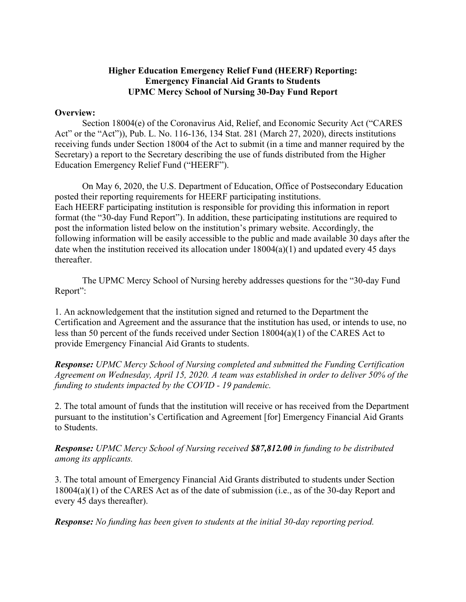## **Higher Education Emergency Relief Fund (HEERF) Reporting: Emergency Financial Aid Grants to Students UPMC Mercy School of Nursing 30-Day Fund Report**

## **Overview:**

Section 18004(e) of the Coronavirus Aid, Relief, and Economic Security Act ("CARES Act" or the "Act")), Pub. L. No. 116-136, 134 Stat. 281 (March 27, 2020), directs institutions receiving funds under Section 18004 of the Act to submit (in a time and manner required by the Secretary) a report to the Secretary describing the use of funds distributed from the Higher Education Emergency Relief Fund ("HEERF").

On May 6, 2020, the U.S. Department of Education, Office of Postsecondary Education posted their reporting requirements for HEERF participating institutions. Each HEERF participating institution is responsible for providing this information in report format (the "30-day Fund Report"). In addition, these participating institutions are required to post the information listed below on the institution's primary website. Accordingly, the following information will be easily accessible to the public and made available 30 days after the date when the institution received its allocation under  $18004(a)(1)$  and updated every 45 days thereafter.

The UPMC Mercy School of Nursing hereby addresses questions for the "30-day Fund Report":

1. An acknowledgement that the institution signed and returned to the Department the Certification and Agreement and the assurance that the institution has used, or intends to use, no less than 50 percent of the funds received under Section 18004(a)(1) of the CARES Act to provide Emergency Financial Aid Grants to students.

*Response: UPMC Mercy School of Nursing completed and submitted the Funding Certification Agreement on Wednesday, April 15, 2020. A team was established in order to deliver 50% of the funding to students impacted by the COVID - 19 pandemic.* 

2. The total amount of funds that the institution will receive or has received from the Department pursuant to the institution's Certification and Agreement [for] Emergency Financial Aid Grants to Students.

*Response: UPMC Mercy School of Nursing received \$87,812.00 in funding to be distributed among its applicants.* 

3. The total amount of Emergency Financial Aid Grants distributed to students under Section 18004(a)(1) of the CARES Act as of the date of submission (i.e., as of the 30-day Report and every 45 days thereafter).

*Response: No funding has been given to students at the initial 30-day reporting period.*